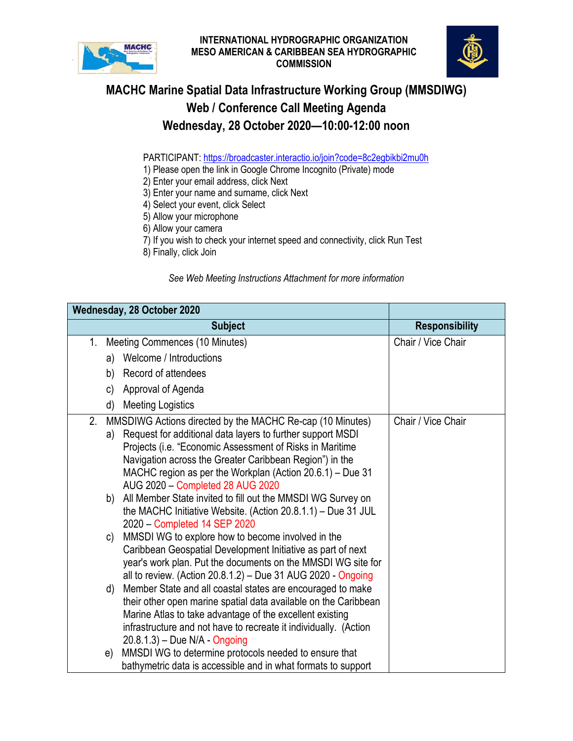



## **MACHC Marine Spatial Data Infrastructure Working Group (MMSDIWG) Web / Conference Call Meeting Agenda Wednesday, 28 October 2020—10:00-12:00 noon**

PARTICIPANT: https://broadcaster.interactio.io/join?code=8c2eqbikbi2mu0h

1) Please open the link in Google Chrome Incognito (Private) mode

2) Enter your email address, click Next

3) Enter your name and surname, click Next

- 4) Select your event, click Select
- 5) Allow your microphone
- 6) Allow your camera
- 7) If you wish to check your internet speed and connectivity, click Run Test
- 8) Finally, click Join

*See Web Meeting Instructions Attachment for more information*

| Wednesday, 28 October 2020 |    |                                                                                               |                       |  |
|----------------------------|----|-----------------------------------------------------------------------------------------------|-----------------------|--|
|                            |    | <b>Subject</b>                                                                                | <b>Responsibility</b> |  |
| $1_{\cdot}$                |    | Meeting Commences (10 Minutes)                                                                | Chair / Vice Chair    |  |
|                            |    | a) Welcome / Introductions                                                                    |                       |  |
|                            | b) | Record of attendees                                                                           |                       |  |
|                            | C) | Approval of Agenda                                                                            |                       |  |
|                            | d) | <b>Meeting Logistics</b>                                                                      |                       |  |
| 2.                         |    | MMSDIWG Actions directed by the MACHC Re-cap (10 Minutes)                                     | Chair / Vice Chair    |  |
|                            | a) | Request for additional data layers to further support MSDI                                    |                       |  |
|                            |    | Projects (i.e. "Economic Assessment of Risks in Maritime                                      |                       |  |
|                            |    | Navigation across the Greater Caribbean Region") in the                                       |                       |  |
|                            |    | MACHC region as per the Workplan (Action 20.6.1) - Due 31<br>AUG 2020 - Completed 28 AUG 2020 |                       |  |
|                            |    | b) All Member State invited to fill out the MMSDI WG Survey on                                |                       |  |
|                            |    | the MACHC Initiative Website. (Action $20.8.1.1$ ) – Due 31 JUL                               |                       |  |
|                            |    | 2020 - Completed 14 SEP 2020                                                                  |                       |  |
|                            | C) | MMSDI WG to explore how to become involved in the                                             |                       |  |
|                            |    | Caribbean Geospatial Development Initiative as part of next                                   |                       |  |
|                            |    | year's work plan. Put the documents on the MMSDI WG site for                                  |                       |  |
|                            |    | all to review. (Action 20.8.1.2) – Due 31 AUG 2020 - Ongoing                                  |                       |  |
|                            | d) | Member State and all coastal states are encouraged to make                                    |                       |  |
|                            |    | their other open marine spatial data available on the Caribbean                               |                       |  |
|                            |    | Marine Atlas to take advantage of the excellent existing                                      |                       |  |
|                            |    | infrastructure and not have to recreate it individually. (Action                              |                       |  |
|                            |    | $20.8.1.3$ – Due N/A - Ongoing                                                                |                       |  |
|                            | e) | MMSDI WG to determine protocols needed to ensure that                                         |                       |  |
|                            |    | bathymetric data is accessible and in what formats to support                                 |                       |  |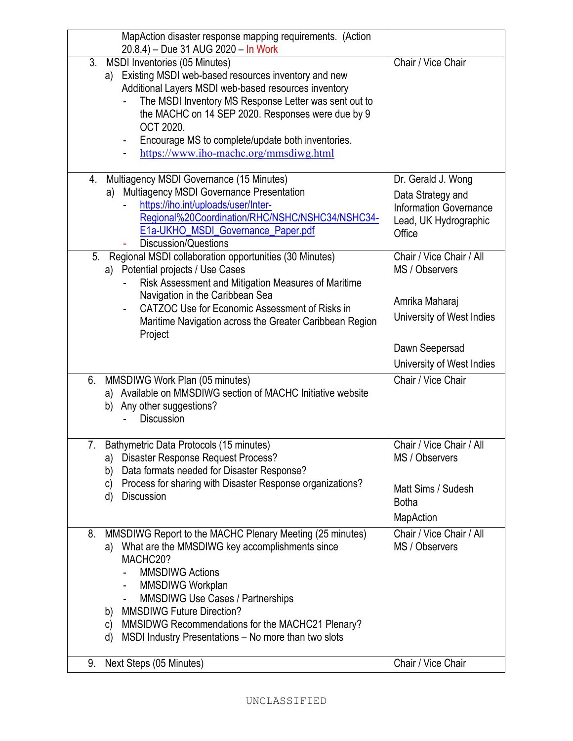| MapAction disaster response mapping requirements. (Action<br>20.8.4) - Due 31 AUG 2020 - In Work                                                                                                                                                                                                                                                                                                                                            |                                                                                                             |
|---------------------------------------------------------------------------------------------------------------------------------------------------------------------------------------------------------------------------------------------------------------------------------------------------------------------------------------------------------------------------------------------------------------------------------------------|-------------------------------------------------------------------------------------------------------------|
| 3. MSDI Inventories (05 Minutes)<br>Existing MSDI web-based resources inventory and new<br>a)<br>Additional Layers MSDI web-based resources inventory<br>The MSDI Inventory MS Response Letter was sent out to<br>the MACHC on 14 SEP 2020. Responses were due by 9<br><b>OCT 2020.</b><br>Encourage MS to complete/update both inventories.<br>https://www.iho-machc.org/mmsdiwg.html                                                      | Chair / Vice Chair                                                                                          |
| 4. Multiagency MSDI Governance (15 Minutes)<br>a) Multiagency MSDI Governance Presentation<br>https://iho.int/uploads/user/Inter-<br>Regional%20Coordination/RHC/NSHC/NSHC34/NSHC34-<br>E1a-UKHO_MSDI_Governance_Paper.pdf<br><b>Discussion/Questions</b>                                                                                                                                                                                   | Dr. Gerald J. Wong<br>Data Strategy and<br><b>Information Governance</b><br>Lead, UK Hydrographic<br>Office |
| Regional MSDI collaboration opportunities (30 Minutes)<br>5 <sub>1</sub><br>a) Potential projects / Use Cases<br>Risk Assessment and Mitigation Measures of Maritime<br>Navigation in the Caribbean Sea<br>CATZOC Use for Economic Assessment of Risks in<br>Maritime Navigation across the Greater Caribbean Region<br>Project                                                                                                             | Chair / Vice Chair / All<br>MS / Observers<br>Amrika Maharaj<br>University of West Indies                   |
|                                                                                                                                                                                                                                                                                                                                                                                                                                             | Dawn Seepersad<br>University of West Indies                                                                 |
| MMSDIWG Work Plan (05 minutes)<br>6.<br>a) Available on MMSDIWG section of MACHC Initiative website<br>b) Any other suggestions?<br><b>Discussion</b>                                                                                                                                                                                                                                                                                       | Chair / Vice Chair                                                                                          |
| Bathymetric Data Protocols (15 minutes)<br>a) Disaster Response Request Process?<br>Data formats needed for Disaster Response?<br>b)<br>Process for sharing with Disaster Response organizations?<br>C)<br><b>Discussion</b><br>d)                                                                                                                                                                                                          | Chair / Vice Chair / All<br>MS / Observers<br>Matt Sims / Sudesh<br><b>Botha</b><br><b>MapAction</b>        |
| MMSDIWG Report to the MACHC Plenary Meeting (25 minutes)<br>8.<br>What are the MMSDIWG key accomplishments since<br>a)<br>MACHC20?<br><b>MMSDIWG Actions</b><br>MMSDIWG Workplan<br>$\blacksquare$<br><b>MMSDIWG Use Cases / Partnerships</b><br>$\overline{\phantom{a}}$<br><b>MMSDIWG Future Direction?</b><br>b)<br>MMSIDWG Recommendations for the MACHC21 Plenary?<br>C)<br>MSDI Industry Presentations - No more than two slots<br>d) | Chair / Vice Chair / All<br>MS / Observers                                                                  |
| Next Steps (05 Minutes)<br>9.                                                                                                                                                                                                                                                                                                                                                                                                               | Chair / Vice Chair                                                                                          |